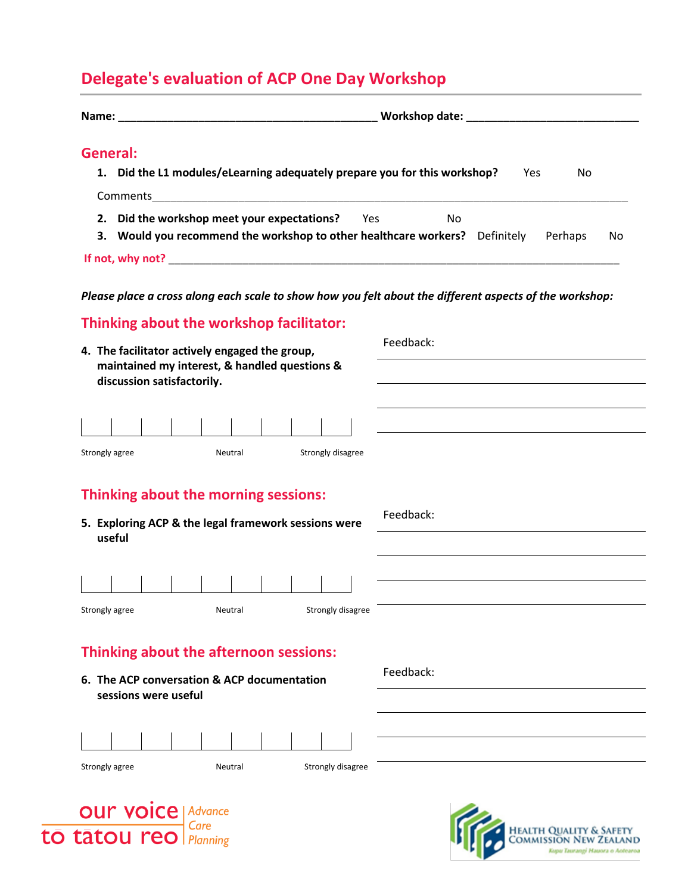## **Delegate's evaluation of ACP One Day Workshop**

| Name: We have a state of the state of the state of the state of the state of the state of the state of the state of the state of the state of the state of the state of the state of the state of the state of the state of th                                                                       |               |
|------------------------------------------------------------------------------------------------------------------------------------------------------------------------------------------------------------------------------------------------------------------------------------------------------|---------------|
| General:<br>1. Did the L1 modules/eLearning adequately prepare you for this workshop?<br>Yes<br>No<br>Comments<br><u> 1989 - Johann John Harry Harry Harry Harry Harry Harry Harry Harry Harry Harry Harry Harry Harry Harry Harry H</u><br>2. Did the workshop meet your expectations?<br>Yes<br>No |               |
| 3. Would you recommend the workshop to other healthcare workers? Definitely                                                                                                                                                                                                                          | Perhaps<br>No |
|                                                                                                                                                                                                                                                                                                      |               |
| Please place a cross along each scale to show how you felt about the different aspects of the workshop:                                                                                                                                                                                              |               |
| Thinking about the workshop facilitator:                                                                                                                                                                                                                                                             |               |
| 4. The facilitator actively engaged the group,                                                                                                                                                                                                                                                       | Feedback:     |
| maintained my interest, & handled questions &<br>discussion satisfactorily.                                                                                                                                                                                                                          |               |
|                                                                                                                                                                                                                                                                                                      |               |
|                                                                                                                                                                                                                                                                                                      |               |
| Strongly agree<br>Strongly disagree<br>Neutral                                                                                                                                                                                                                                                       |               |
| Thinking about the morning sessions:                                                                                                                                                                                                                                                                 |               |
| 5. Exploring ACP & the legal framework sessions were                                                                                                                                                                                                                                                 | Feedback:     |
| useful                                                                                                                                                                                                                                                                                               |               |
|                                                                                                                                                                                                                                                                                                      |               |
|                                                                                                                                                                                                                                                                                                      |               |
| Strongly disagree<br>Strongly agree<br>Neutral                                                                                                                                                                                                                                                       |               |
| Thinking about the afternoon sessions:                                                                                                                                                                                                                                                               |               |
| 6. The ACP conversation & ACP documentation                                                                                                                                                                                                                                                          | Feedback:     |
| sessions were useful                                                                                                                                                                                                                                                                                 |               |
|                                                                                                                                                                                                                                                                                                      |               |
|                                                                                                                                                                                                                                                                                                      |               |
| Strongly disagree<br>Strongly agree<br>Neutral                                                                                                                                                                                                                                                       |               |